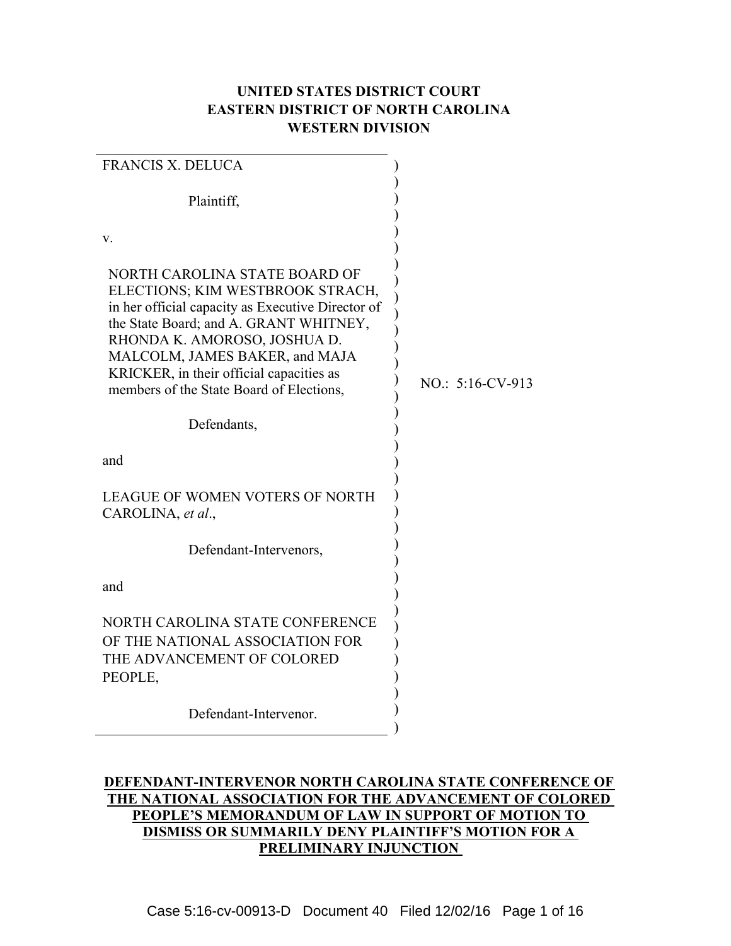# **UNITED STATES DISTRICT COURT EASTERN DISTRICT OF NORTH CAROLINA WESTERN DIVISION**

| <b>FRANCIS X. DELUCA</b>                                                                                                                                                                                                                                                                                                   |                    |
|----------------------------------------------------------------------------------------------------------------------------------------------------------------------------------------------------------------------------------------------------------------------------------------------------------------------------|--------------------|
| Plaintiff,                                                                                                                                                                                                                                                                                                                 |                    |
| V.                                                                                                                                                                                                                                                                                                                         |                    |
| NORTH CAROLINA STATE BOARD OF<br>ELECTIONS; KIM WESTBROOK STRACH,<br>in her official capacity as Executive Director of<br>the State Board; and A. GRANT WHITNEY,<br>RHONDA K. AMOROSO, JOSHUA D.<br>MALCOLM, JAMES BAKER, and MAJA<br>KRICKER, in their official capacities as<br>members of the State Board of Elections, | $NO$ : 5:16-CV-913 |
| Defendants,                                                                                                                                                                                                                                                                                                                |                    |
| and                                                                                                                                                                                                                                                                                                                        |                    |
| <b>LEAGUE OF WOMEN VOTERS OF NORTH</b><br>CAROLINA, et al.,                                                                                                                                                                                                                                                                |                    |
| Defendant-Intervenors,                                                                                                                                                                                                                                                                                                     |                    |
| and                                                                                                                                                                                                                                                                                                                        |                    |
| NORTH CAROLINA STATE CONFERENCE<br>OF THE NATIONAL ASSOCIATION FOR<br>THE ADVANCEMENT OF COLORED<br>PEOPLE,                                                                                                                                                                                                                |                    |
| Defendant-Intervenor.                                                                                                                                                                                                                                                                                                      |                    |

## **DEFENDANT-INTERVENOR NORTH CAROLINA STATE CONFERENCE OF THE NATIONAL ASSOCIATION FOR THE ADVANCEMENT OF COLORED PEOPLE'S MEMORANDUM OF LAW IN SUPPORT OF MOTION TO DISMISS OR SUMMARILY DENY PLAINTIFF'S MOTION FOR A PRELIMINARY INJUNCTION**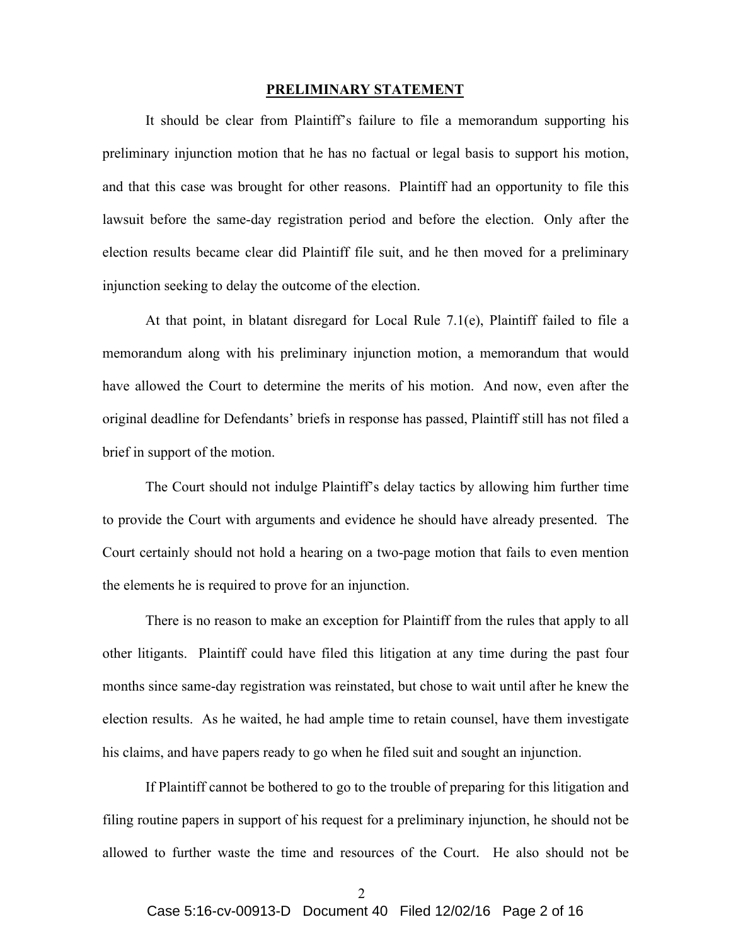#### **PRELIMINARY STATEMENT**

It should be clear from Plaintiff's failure to file a memorandum supporting his preliminary injunction motion that he has no factual or legal basis to support his motion, and that this case was brought for other reasons. Plaintiff had an opportunity to file this lawsuit before the same-day registration period and before the election. Only after the election results became clear did Plaintiff file suit, and he then moved for a preliminary injunction seeking to delay the outcome of the election.

At that point, in blatant disregard for Local Rule 7.1(e), Plaintiff failed to file a memorandum along with his preliminary injunction motion, a memorandum that would have allowed the Court to determine the merits of his motion. And now, even after the original deadline for Defendants' briefs in response has passed, Plaintiff still has not filed a brief in support of the motion.

The Court should not indulge Plaintiff's delay tactics by allowing him further time to provide the Court with arguments and evidence he should have already presented. The Court certainly should not hold a hearing on a two-page motion that fails to even mention the elements he is required to prove for an injunction.

There is no reason to make an exception for Plaintiff from the rules that apply to all other litigants. Plaintiff could have filed this litigation at any time during the past four months since same-day registration was reinstated, but chose to wait until after he knew the election results. As he waited, he had ample time to retain counsel, have them investigate his claims, and have papers ready to go when he filed suit and sought an injunction.

If Plaintiff cannot be bothered to go to the trouble of preparing for this litigation and filing routine papers in support of his request for a preliminary injunction, he should not be allowed to further waste the time and resources of the Court. He also should not be

 $\mathcal{D}$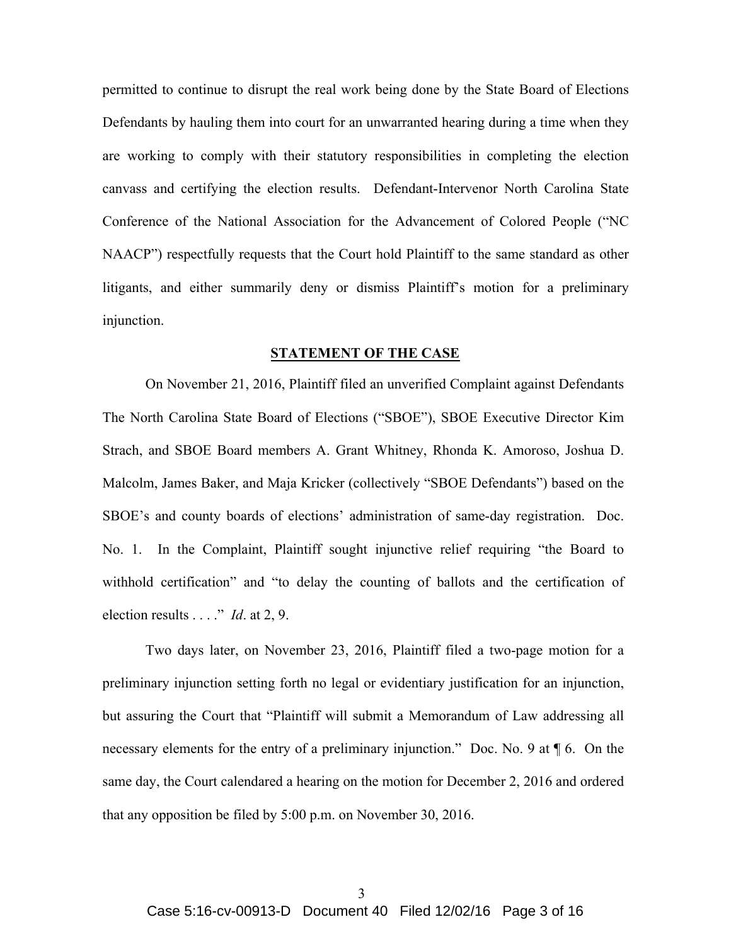permitted to continue to disrupt the real work being done by the State Board of Elections Defendants by hauling them into court for an unwarranted hearing during a time when they are working to comply with their statutory responsibilities in completing the election canvass and certifying the election results. Defendant-Intervenor North Carolina State Conference of the National Association for the Advancement of Colored People ("NC NAACP") respectfully requests that the Court hold Plaintiff to the same standard as other litigants, and either summarily deny or dismiss Plaintiff's motion for a preliminary injunction.

### **STATEMENT OF THE CASE**

On November 21, 2016, Plaintiff filed an unverified Complaint against Defendants The North Carolina State Board of Elections ("SBOE"), SBOE Executive Director Kim Strach, and SBOE Board members A. Grant Whitney, Rhonda K. Amoroso, Joshua D. Malcolm, James Baker, and Maja Kricker (collectively "SBOE Defendants") based on the SBOE's and county boards of elections' administration of same-day registration. Doc. No. 1. In the Complaint, Plaintiff sought injunctive relief requiring "the Board to withhold certification" and "to delay the counting of ballots and the certification of election results . . . ." *Id*. at 2, 9.

Two days later, on November 23, 2016, Plaintiff filed a two-page motion for a preliminary injunction setting forth no legal or evidentiary justification for an injunction, but assuring the Court that "Plaintiff will submit a Memorandum of Law addressing all necessary elements for the entry of a preliminary injunction." Doc. No. 9 at  $\P$  6. On the same day, the Court calendared a hearing on the motion for December 2, 2016 and ordered that any opposition be filed by 5:00 p.m. on November 30, 2016.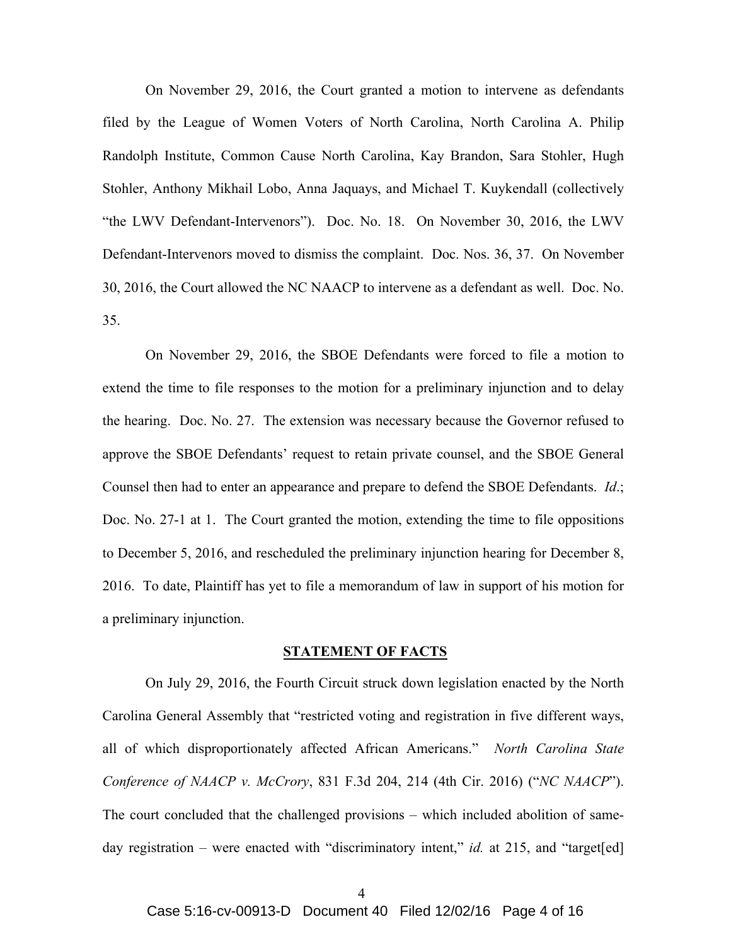On November 29, 2016, the Court granted a motion to intervene as defendants filed by the League of Women Voters of North Carolina, North Carolina A. Philip Randolph Institute, Common Cause North Carolina, Kay Brandon, Sara Stohler, Hugh Stohler, Anthony Mikhail Lobo, Anna Jaquays, and Michael T. Kuykendall (collectively "the LWV Defendant-Intervenors"). Doc. No. 18. On November 30, 2016, the LWV Defendant-Intervenors moved to dismiss the complaint. Doc. Nos. 36, 37. On November 30, 2016, the Court allowed the NC NAACP to intervene as a defendant as well. Doc. No. 35.

On November 29, 2016, the SBOE Defendants were forced to file a motion to extend the time to file responses to the motion for a preliminary injunction and to delay the hearing. Doc. No. 27. The extension was necessary because the Governor refused to approve the SBOE Defendants' request to retain private counsel, and the SBOE General Counsel then had to enter an appearance and prepare to defend the SBOE Defendants. *Id*.; Doc. No. 27-1 at 1. The Court granted the motion, extending the time to file oppositions to December 5, 2016, and rescheduled the preliminary injunction hearing for December 8, 2016. To date, Plaintiff has yet to file a memorandum of law in support of his motion for a preliminary injunction.

### **STATEMENT OF FACTS**

On July 29, 2016, the Fourth Circuit struck down legislation enacted by the North Carolina General Assembly that "restricted voting and registration in five different ways, all of which disproportionately affected African Americans." *North Carolina State Conference of NAACP v. McCrory*, 831 F.3d 204, 214 (4th Cir. 2016) ("*NC NAACP*"). The court concluded that the challenged provisions – which included abolition of sameday registration – were enacted with "discriminatory intent," *id.* at 215, and "target[ed]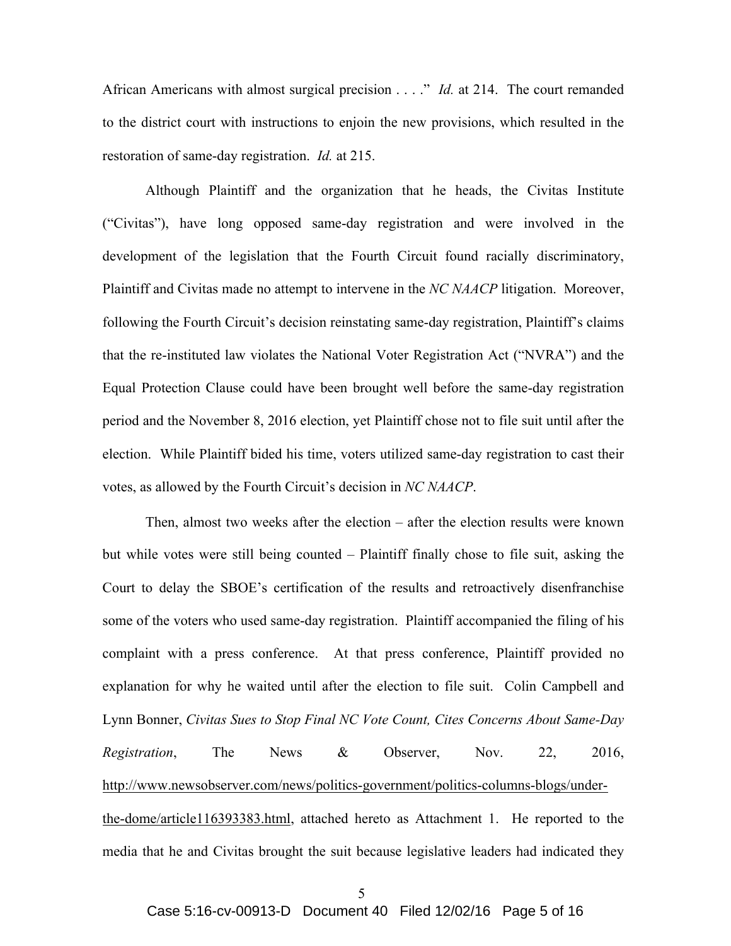African Americans with almost surgical precision . . . ." *Id.* at 214. The court remanded to the district court with instructions to enjoin the new provisions, which resulted in the restoration of same-day registration. *Id.* at 215.

Although Plaintiff and the organization that he heads, the Civitas Institute ("Civitas"), have long opposed same-day registration and were involved in the development of the legislation that the Fourth Circuit found racially discriminatory, Plaintiff and Civitas made no attempt to intervene in the *NC NAACP* litigation. Moreover, following the Fourth Circuit's decision reinstating same-day registration, Plaintiff's claims that the re-instituted law violates the National Voter Registration Act ("NVRA") and the Equal Protection Clause could have been brought well before the same-day registration period and the November 8, 2016 election, yet Plaintiff chose not to file suit until after the election. While Plaintiff bided his time, voters utilized same-day registration to cast their votes, as allowed by the Fourth Circuit's decision in *NC NAACP*.

Then, almost two weeks after the election – after the election results were known but while votes were still being counted – Plaintiff finally chose to file suit, asking the Court to delay the SBOE's certification of the results and retroactively disenfranchise some of the voters who used same-day registration. Plaintiff accompanied the filing of his complaint with a press conference. At that press conference, Plaintiff provided no explanation for why he waited until after the election to file suit. Colin Campbell and Lynn Bonner, *Civitas Sues to Stop Final NC Vote Count, Cites Concerns About Same-Day Registration*, The News & Observer, Nov. 22, 2016, http://www.newsobserver.com/news/politics-government/politics-columns-blogs/underthe-dome/article116393383.html, attached hereto as Attachment 1. He reported to the media that he and Civitas brought the suit because legislative leaders had indicated they

5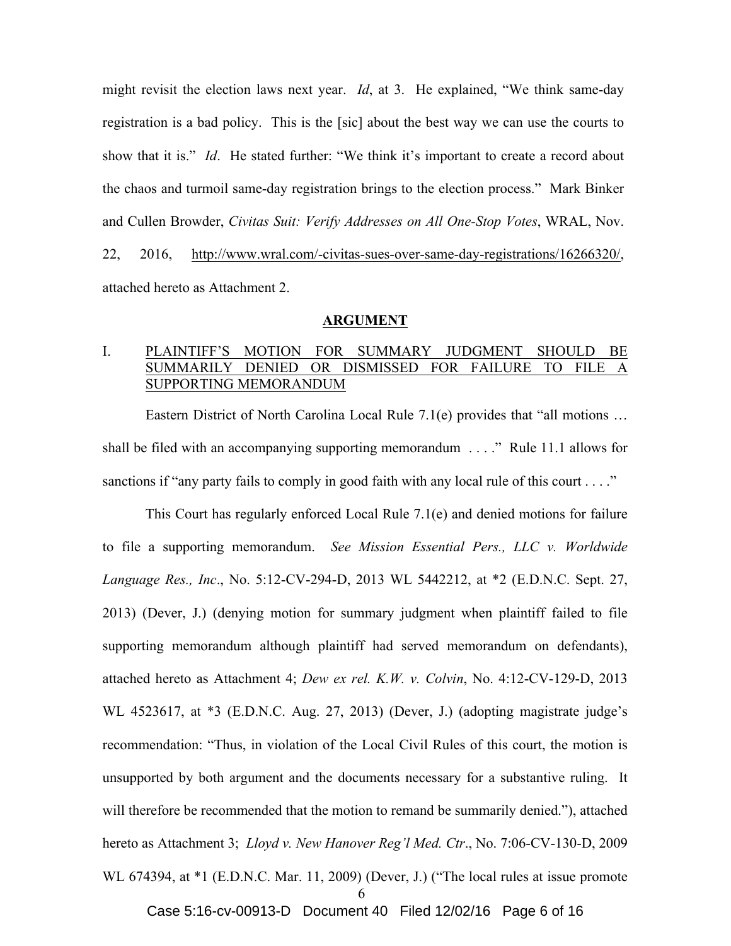might revisit the election laws next year. *Id*, at 3. He explained, "We think same-day registration is a bad policy. This is the [sic] about the best way we can use the courts to show that it is." *Id*. He stated further: "We think it's important to create a record about the chaos and turmoil same-day registration brings to the election process." Mark Binker and Cullen Browder, *Civitas Suit: Verify Addresses on All One-Stop Votes*, WRAL, Nov. 22, 2016, http://www.wral.com/-civitas-sues-over-same-day-registrations/16266320/, attached hereto as Attachment 2.

#### **ARGUMENT**

## I. PLAINTIFF'S MOTION FOR SUMMARY JUDGMENT SHOULD BE SUMMARILY DENIED OR DISMISSED FOR FAILURE TO FILE A SUPPORTING MEMORANDUM

Eastern District of North Carolina Local Rule 7.1(e) provides that "all motions … shall be filed with an accompanying supporting memorandum . . . ." Rule 11.1 allows for sanctions if "any party fails to comply in good faith with any local rule of this court  $\dots$ ."

6 This Court has regularly enforced Local Rule 7.1(e) and denied motions for failure to file a supporting memorandum. *See Mission Essential Pers., LLC v. Worldwide Language Res., Inc*., No. 5:12-CV-294-D, 2013 WL 5442212, at \*2 (E.D.N.C. Sept. 27, 2013) (Dever, J.) (denying motion for summary judgment when plaintiff failed to file supporting memorandum although plaintiff had served memorandum on defendants), attached hereto as Attachment 4; *Dew ex rel. K.W. v. Colvin*, No. 4:12-CV-129-D, 2013 WL 4523617, at \*3 (E.D.N.C. Aug. 27, 2013) (Dever, J.) (adopting magistrate judge's recommendation: "Thus, in violation of the Local Civil Rules of this court, the motion is unsupported by both argument and the documents necessary for a substantive ruling. It will therefore be recommended that the motion to remand be summarily denied."), attached hereto as Attachment 3; *Lloyd v. New Hanover Reg'l Med. Ctr*., No. 7:06-CV-130-D, 2009 WL 674394, at \*1 (E.D.N.C. Mar. 11, 2009) (Dever, J.) ("The local rules at issue promote

Case 5:16-cv-00913-D Document 40 Filed 12/02/16 Page 6 of 16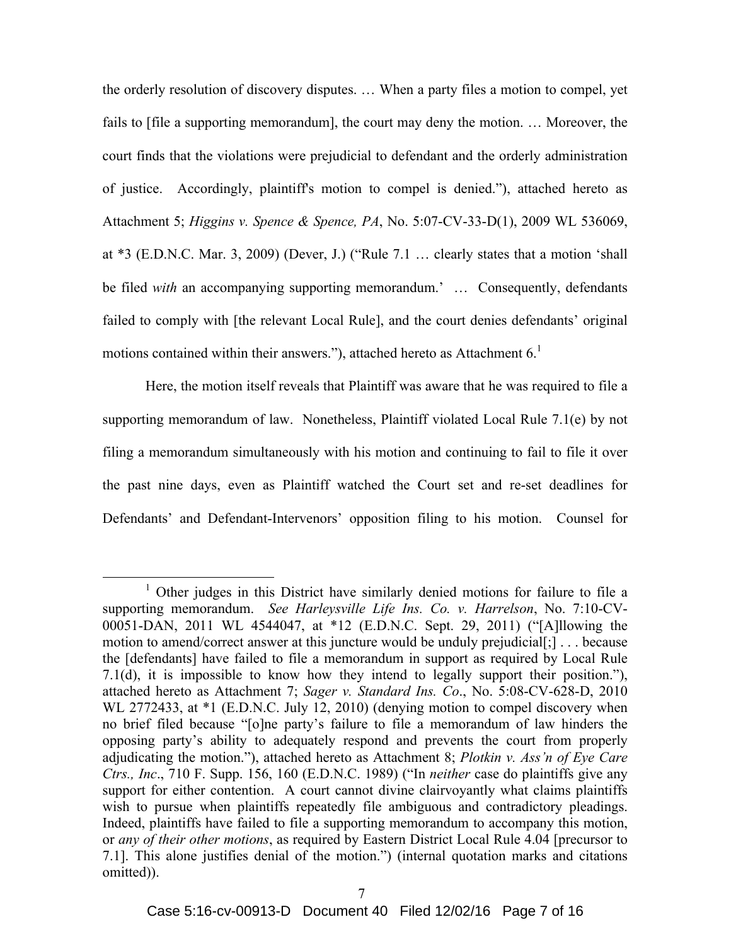the orderly resolution of discovery disputes. … When a party files a motion to compel, yet fails to [file a supporting memorandum], the court may deny the motion. … Moreover, the court finds that the violations were prejudicial to defendant and the orderly administration of justice. Accordingly, plaintiff's motion to compel is denied."), attached hereto as Attachment 5; *Higgins v. Spence & Spence, PA*, No. 5:07-CV-33-D(1), 2009 WL 536069, at \*3 (E.D.N.C. Mar. 3, 2009) (Dever, J.) ("Rule 7.1 … clearly states that a motion 'shall be filed *with* an accompanying supporting memorandum.' … Consequently, defendants failed to comply with [the relevant Local Rule], and the court denies defendants' original motions contained within their answers."), attached hereto as Attachment  $6<sup>1</sup>$ 

Here, the motion itself reveals that Plaintiff was aware that he was required to file a supporting memorandum of law. Nonetheless, Plaintiff violated Local Rule 7.1(e) by not filing a memorandum simultaneously with his motion and continuing to fail to file it over the past nine days, even as Plaintiff watched the Court set and re-set deadlines for Defendants' and Defendant-Intervenors' opposition filing to his motion. Counsel for

<sup>&</sup>lt;sup>1</sup> Other judges in this District have similarly denied motions for failure to file a supporting memorandum. *See Harleysville Life Ins. Co. v. Harrelson*, No. 7:10-CV-00051-DAN, 2011 WL 4544047, at \*12 (E.D.N.C. Sept. 29, 2011) ("[A]llowing the motion to amend/correct answer at this juncture would be unduly prejudicial[;] . . . because the [defendants] have failed to file a memorandum in support as required by Local Rule 7.1(d), it is impossible to know how they intend to legally support their position."), attached hereto as Attachment 7; *Sager v. Standard Ins. Co*., No. 5:08-CV-628-D, 2010 WL 2772433, at \*1 (E.D.N.C. July 12, 2010) (denying motion to compel discovery when no brief filed because "[o]ne party's failure to file a memorandum of law hinders the opposing party's ability to adequately respond and prevents the court from properly adjudicating the motion."), attached hereto as Attachment 8; *Plotkin v. Ass'n of Eye Care Ctrs., Inc*., 710 F. Supp. 156, 160 (E.D.N.C. 1989) ("In *neither* case do plaintiffs give any support for either contention. A court cannot divine clairvoyantly what claims plaintiffs wish to pursue when plaintiffs repeatedly file ambiguous and contradictory pleadings. Indeed, plaintiffs have failed to file a supporting memorandum to accompany this motion, or *any of their other motions*, as required by Eastern District Local Rule 4.04 [precursor to 7.1]. This alone justifies denial of the motion.") (internal quotation marks and citations omitted)).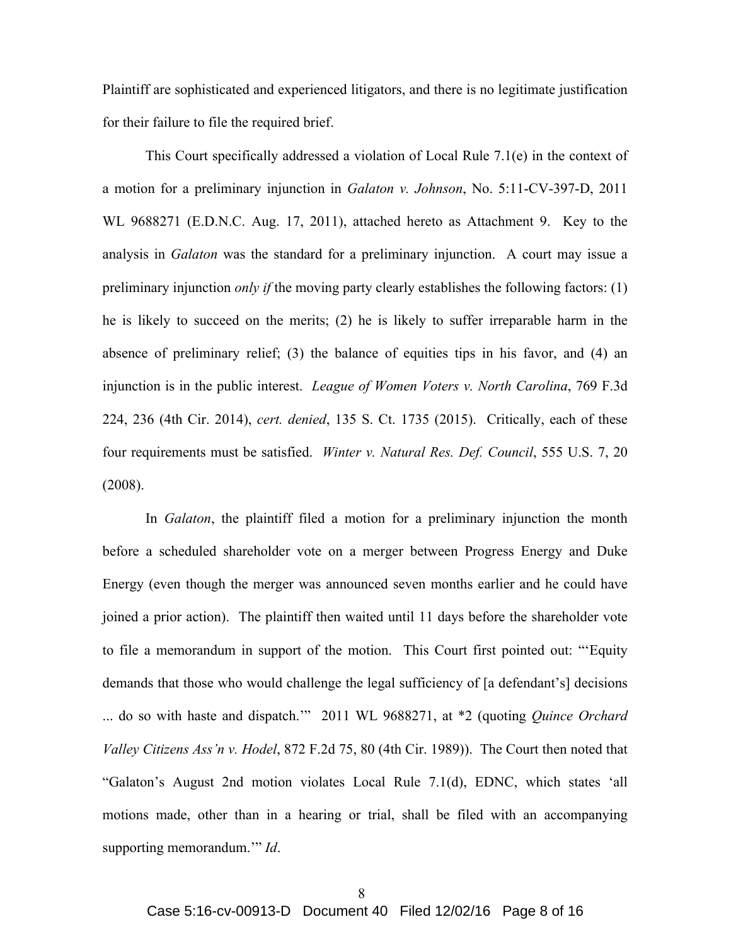Plaintiff are sophisticated and experienced litigators, and there is no legitimate justification for their failure to file the required brief.

This Court specifically addressed a violation of Local Rule 7.1(e) in the context of a motion for a preliminary injunction in *Galaton v. Johnson*, No. 5:11-CV-397-D, 2011 WL 9688271 (E.D.N.C. Aug. 17, 2011), attached hereto as Attachment 9. Key to the analysis in *Galaton* was the standard for a preliminary injunction. A court may issue a preliminary injunction *only if* the moving party clearly establishes the following factors: (1) he is likely to succeed on the merits; (2) he is likely to suffer irreparable harm in the absence of preliminary relief; (3) the balance of equities tips in his favor, and (4) an injunction is in the public interest. *League of Women Voters v. North Carolina*, 769 F.3d 224, 236 (4th Cir. 2014), *cert. denied*, 135 S. Ct. 1735 (2015). Critically, each of these four requirements must be satisfied. *Winter v. Natural Res. Def. Council*, 555 U.S. 7, 20 (2008).

In *Galaton*, the plaintiff filed a motion for a preliminary injunction the month before a scheduled shareholder vote on a merger between Progress Energy and Duke Energy (even though the merger was announced seven months earlier and he could have joined a prior action). The plaintiff then waited until 11 days before the shareholder vote to file a memorandum in support of the motion. This Court first pointed out: "'Equity demands that those who would challenge the legal sufficiency of [a defendant's] decisions ... do so with haste and dispatch.'" 2011 WL 9688271, at \*2 (quoting *Quince Orchard Valley Citizens Ass'n v. Hodel*, 872 F.2d 75, 80 (4th Cir. 1989)). The Court then noted that "Galaton's August 2nd motion violates Local Rule 7.1(d), EDNC, which states 'all motions made, other than in a hearing or trial, shall be filed with an accompanying supporting memorandum.'" *Id*.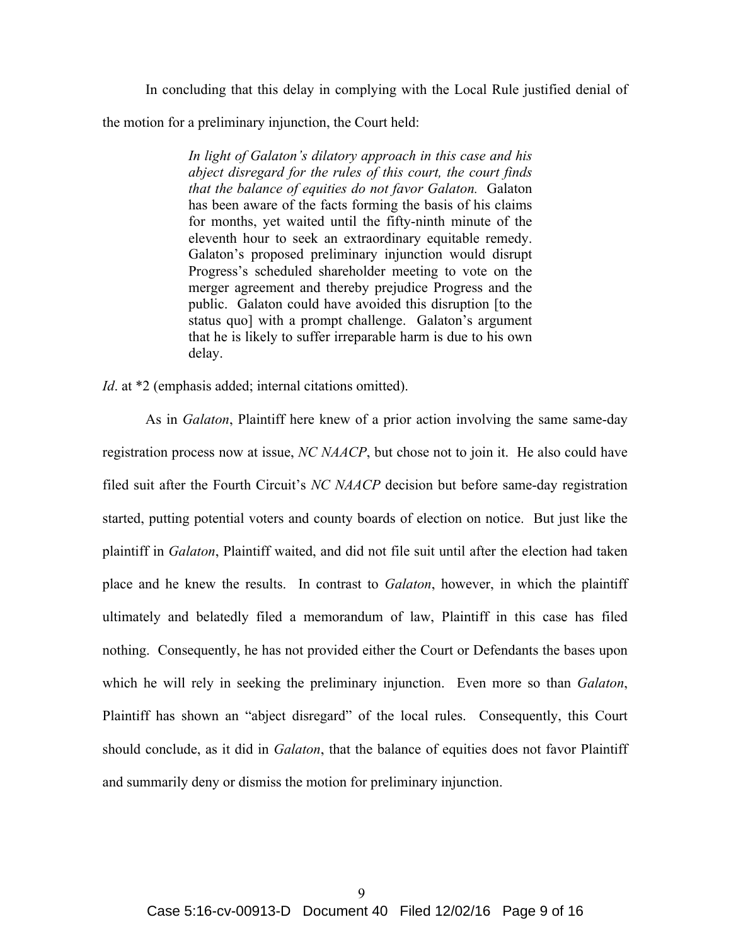In concluding that this delay in complying with the Local Rule justified denial of the motion for a preliminary injunction, the Court held:

> *In light of Galaton's dilatory approach in this case and his abject disregard for the rules of this court, the court finds that the balance of equities do not favor Galaton.* Galaton has been aware of the facts forming the basis of his claims for months, yet waited until the fifty-ninth minute of the eleventh hour to seek an extraordinary equitable remedy. Galaton's proposed preliminary injunction would disrupt Progress's scheduled shareholder meeting to vote on the merger agreement and thereby prejudice Progress and the public. Galaton could have avoided this disruption [to the status quo] with a prompt challenge. Galaton's argument that he is likely to suffer irreparable harm is due to his own delay.

*Id.* at \*2 (emphasis added; internal citations omitted).

As in *Galaton*, Plaintiff here knew of a prior action involving the same same-day registration process now at issue, *NC NAACP*, but chose not to join it. He also could have filed suit after the Fourth Circuit's *NC NAACP* decision but before same-day registration started, putting potential voters and county boards of election on notice. But just like the plaintiff in *Galaton*, Plaintiff waited, and did not file suit until after the election had taken place and he knew the results. In contrast to *Galaton*, however, in which the plaintiff ultimately and belatedly filed a memorandum of law, Plaintiff in this case has filed nothing. Consequently, he has not provided either the Court or Defendants the bases upon which he will rely in seeking the preliminary injunction. Even more so than *Galaton*, Plaintiff has shown an "abject disregard" of the local rules. Consequently, this Court should conclude, as it did in *Galaton*, that the balance of equities does not favor Plaintiff and summarily deny or dismiss the motion for preliminary injunction.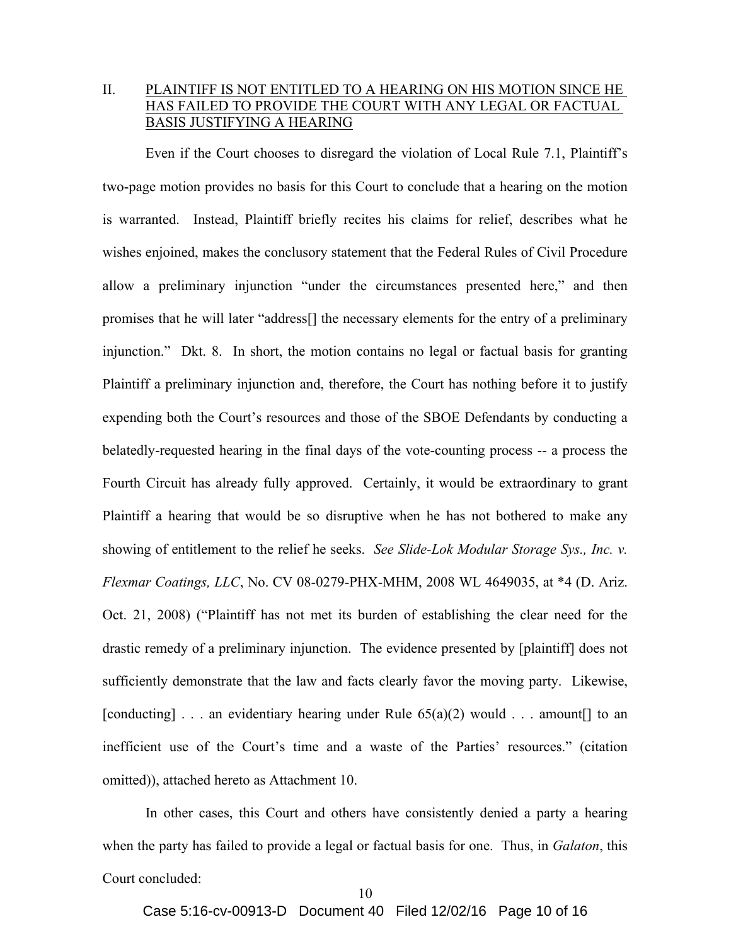## II. PLAINTIFF IS NOT ENTITLED TO A HEARING ON HIS MOTION SINCE HE HAS FAILED TO PROVIDE THE COURT WITH ANY LEGAL OR FACTUAL BASIS JUSTIFYING A HEARING

Even if the Court chooses to disregard the violation of Local Rule 7.1, Plaintiff's two-page motion provides no basis for this Court to conclude that a hearing on the motion is warranted. Instead, Plaintiff briefly recites his claims for relief, describes what he wishes enjoined, makes the conclusory statement that the Federal Rules of Civil Procedure allow a preliminary injunction "under the circumstances presented here," and then promises that he will later "address[] the necessary elements for the entry of a preliminary injunction." Dkt. 8. In short, the motion contains no legal or factual basis for granting Plaintiff a preliminary injunction and, therefore, the Court has nothing before it to justify expending both the Court's resources and those of the SBOE Defendants by conducting a belatedly-requested hearing in the final days of the vote-counting process -- a process the Fourth Circuit has already fully approved. Certainly, it would be extraordinary to grant Plaintiff a hearing that would be so disruptive when he has not bothered to make any showing of entitlement to the relief he seeks. *See Slide-Lok Modular Storage Sys., Inc. v. Flexmar Coatings, LLC*, No. CV 08-0279-PHX-MHM, 2008 WL 4649035, at \*4 (D. Ariz. Oct. 21, 2008) ("Plaintiff has not met its burden of establishing the clear need for the drastic remedy of a preliminary injunction. The evidence presented by [plaintiff] does not sufficiently demonstrate that the law and facts clearly favor the moving party. Likewise, [conducting]  $\ldots$  an evidentiary hearing under Rule 65(a)(2) would  $\ldots$  amount [] to an inefficient use of the Court's time and a waste of the Parties' resources." (citation omitted)), attached hereto as Attachment 10.

In other cases, this Court and others have consistently denied a party a hearing when the party has failed to provide a legal or factual basis for one. Thus, in *Galaton*, this Court concluded:

Case 5:16-cv-00913-D Document 40 Filed 12/02/16 Page 10 of 16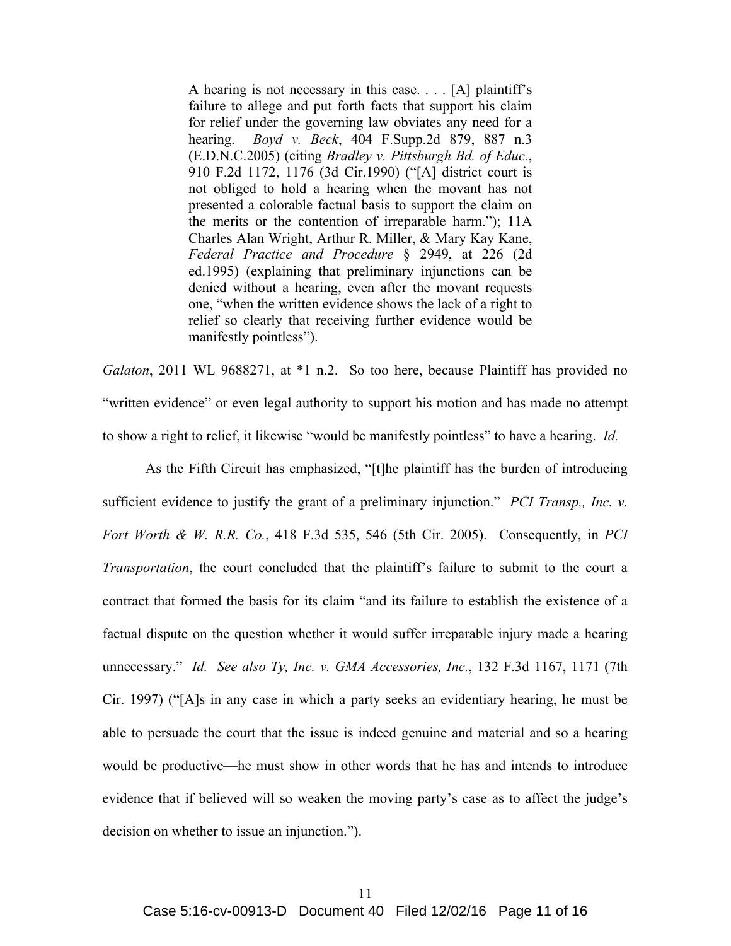A hearing is not necessary in this case. . . . [A] plaintiff's failure to allege and put forth facts that support his claim for relief under the governing law obviates any need for a hearing. *Boyd v. Beck*, 404 F.Supp.2d 879, 887 n.3 (E.D.N.C.2005) (citing *Bradley v. Pittsburgh Bd. of Educ.*, 910 F.2d 1172, 1176 (3d Cir.1990) ("[A] district court is not obliged to hold a hearing when the movant has not presented a colorable factual basis to support the claim on the merits or the contention of irreparable harm."); 11A Charles Alan Wright, Arthur R. Miller, & Mary Kay Kane, *Federal Practice and Procedure* § 2949, at 226 (2d ed.1995) (explaining that preliminary injunctions can be denied without a hearing, even after the movant requests one, "when the written evidence shows the lack of a right to relief so clearly that receiving further evidence would be manifestly pointless").

*Galaton*, 2011 WL 9688271, at \*1 n.2. So too here, because Plaintiff has provided no "written evidence" or even legal authority to support his motion and has made no attempt to show a right to relief, it likewise "would be manifestly pointless" to have a hearing. *Id.*

As the Fifth Circuit has emphasized, "[t]he plaintiff has the burden of introducing sufficient evidence to justify the grant of a preliminary injunction." *PCI Transp., Inc. v. Fort Worth & W. R.R. Co.*, 418 F.3d 535, 546 (5th Cir. 2005). Consequently, in *PCI Transportation*, the court concluded that the plaintiff's failure to submit to the court a contract that formed the basis for its claim "and its failure to establish the existence of a factual dispute on the question whether it would suffer irreparable injury made a hearing unnecessary." *Id. See also Ty, Inc. v. GMA Accessories, Inc.*, 132 F.3d 1167, 1171 (7th Cir. 1997) ("[A]s in any case in which a party seeks an evidentiary hearing, he must be able to persuade the court that the issue is indeed genuine and material and so a hearing would be productive—he must show in other words that he has and intends to introduce evidence that if believed will so weaken the moving party's case as to affect the judge's decision on whether to issue an injunction.").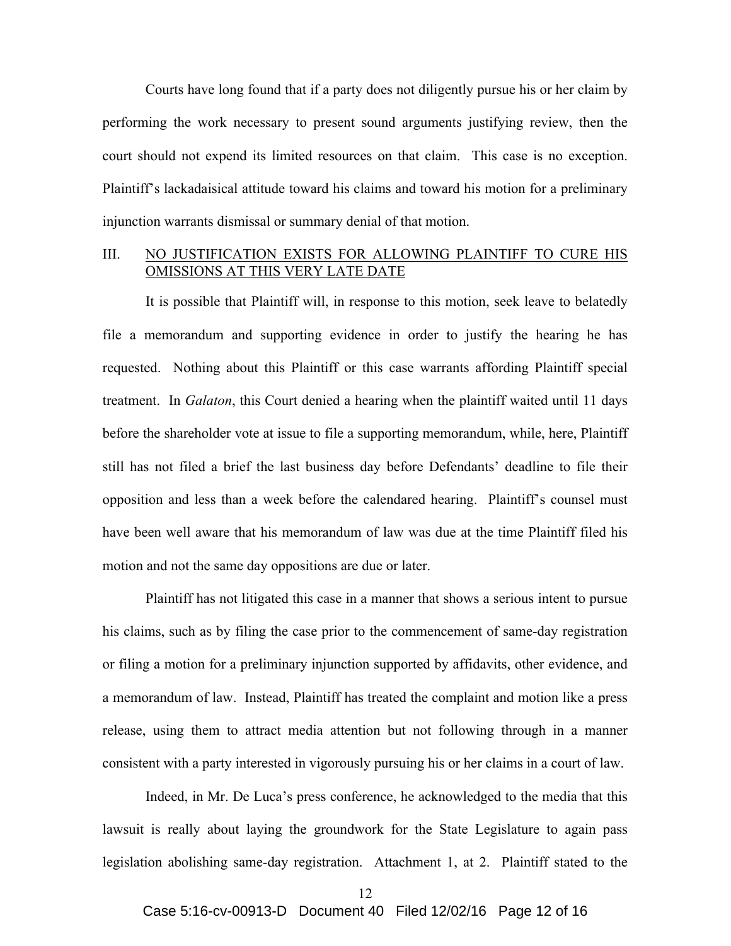Courts have long found that if a party does not diligently pursue his or her claim by performing the work necessary to present sound arguments justifying review, then the court should not expend its limited resources on that claim. This case is no exception. Plaintiff's lackadaisical attitude toward his claims and toward his motion for a preliminary injunction warrants dismissal or summary denial of that motion.

### III. NO JUSTIFICATION EXISTS FOR ALLOWING PLAINTIFF TO CURE HIS OMISSIONS AT THIS VERY LATE DATE

It is possible that Plaintiff will, in response to this motion, seek leave to belatedly file a memorandum and supporting evidence in order to justify the hearing he has requested. Nothing about this Plaintiff or this case warrants affording Plaintiff special treatment. In *Galaton*, this Court denied a hearing when the plaintiff waited until 11 days before the shareholder vote at issue to file a supporting memorandum, while, here, Plaintiff still has not filed a brief the last business day before Defendants' deadline to file their opposition and less than a week before the calendared hearing. Plaintiff's counsel must have been well aware that his memorandum of law was due at the time Plaintiff filed his motion and not the same day oppositions are due or later.

Plaintiff has not litigated this case in a manner that shows a serious intent to pursue his claims, such as by filing the case prior to the commencement of same-day registration or filing a motion for a preliminary injunction supported by affidavits, other evidence, and a memorandum of law. Instead, Plaintiff has treated the complaint and motion like a press release, using them to attract media attention but not following through in a manner consistent with a party interested in vigorously pursuing his or her claims in a court of law.

Indeed, in Mr. De Luca's press conference, he acknowledged to the media that this lawsuit is really about laying the groundwork for the State Legislature to again pass legislation abolishing same-day registration. Attachment 1, at 2. Plaintiff stated to the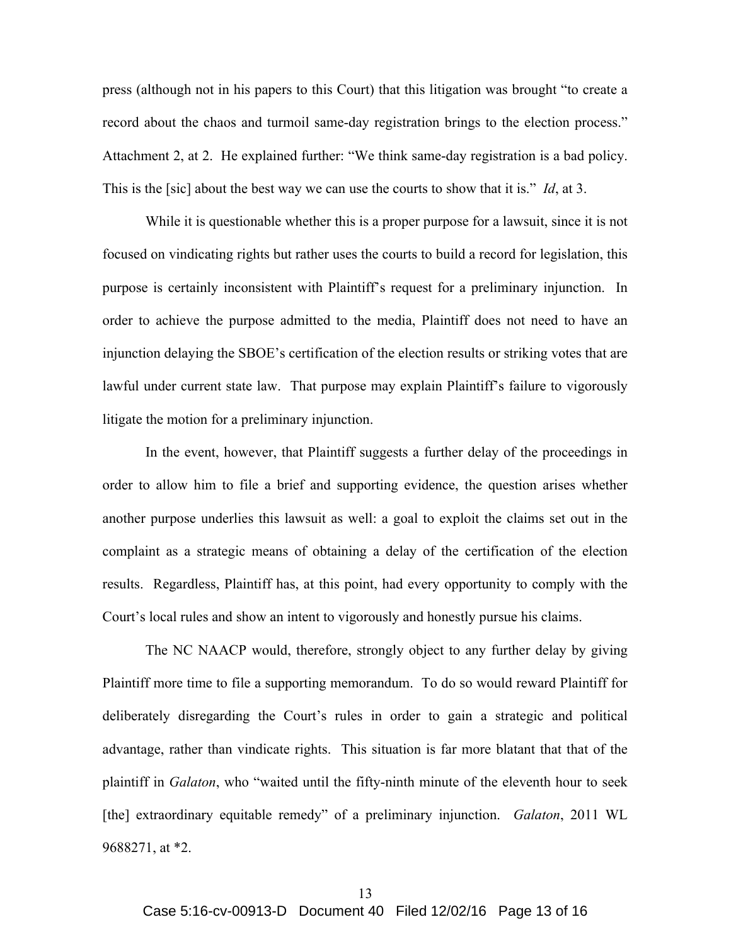press (although not in his papers to this Court) that this litigation was brought "to create a record about the chaos and turmoil same-day registration brings to the election process." Attachment 2, at 2. He explained further: "We think same-day registration is a bad policy. This is the [sic] about the best way we can use the courts to show that it is." *Id*, at 3.

While it is questionable whether this is a proper purpose for a lawsuit, since it is not focused on vindicating rights but rather uses the courts to build a record for legislation, this purpose is certainly inconsistent with Plaintiff's request for a preliminary injunction. In order to achieve the purpose admitted to the media, Plaintiff does not need to have an injunction delaying the SBOE's certification of the election results or striking votes that are lawful under current state law. That purpose may explain Plaintiff's failure to vigorously litigate the motion for a preliminary injunction.

In the event, however, that Plaintiff suggests a further delay of the proceedings in order to allow him to file a brief and supporting evidence, the question arises whether another purpose underlies this lawsuit as well: a goal to exploit the claims set out in the complaint as a strategic means of obtaining a delay of the certification of the election results. Regardless, Plaintiff has, at this point, had every opportunity to comply with the Court's local rules and show an intent to vigorously and honestly pursue his claims.

The NC NAACP would, therefore, strongly object to any further delay by giving Plaintiff more time to file a supporting memorandum. To do so would reward Plaintiff for deliberately disregarding the Court's rules in order to gain a strategic and political advantage, rather than vindicate rights. This situation is far more blatant that that of the plaintiff in *Galaton*, who "waited until the fifty-ninth minute of the eleventh hour to seek [the] extraordinary equitable remedy" of a preliminary injunction. *Galaton*, 2011 WL 9688271, at \*2.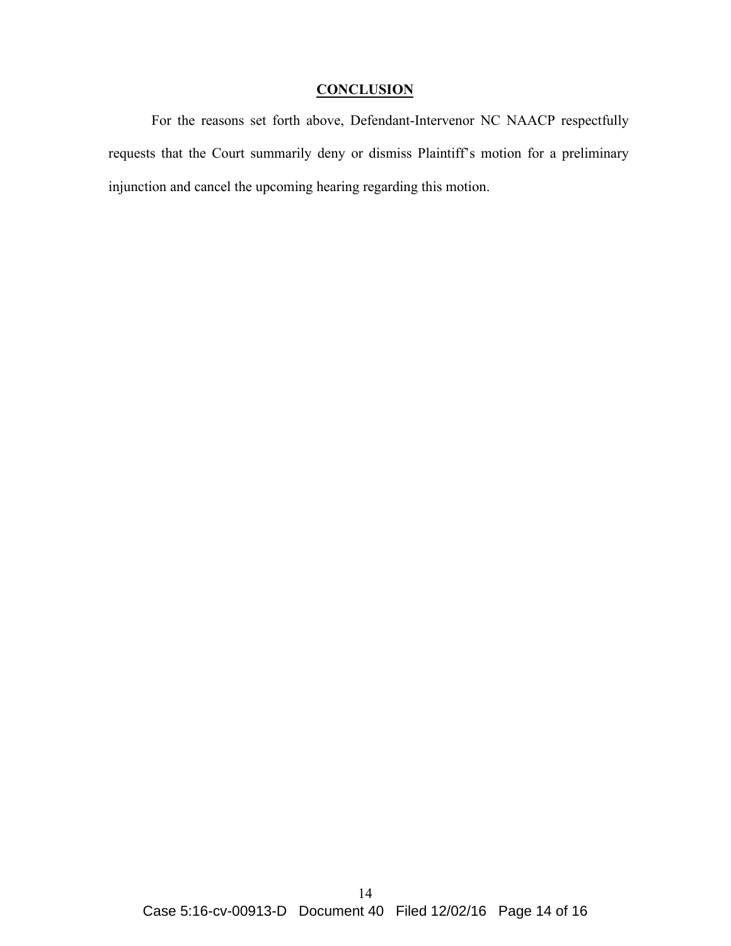# **CONCLUSION**

For the reasons set forth above, Defendant-Intervenor NC NAACP respectfully requests that the Court summarily deny or dismiss Plaintiff's motion for a preliminary injunction and cancel the upcoming hearing regarding this motion.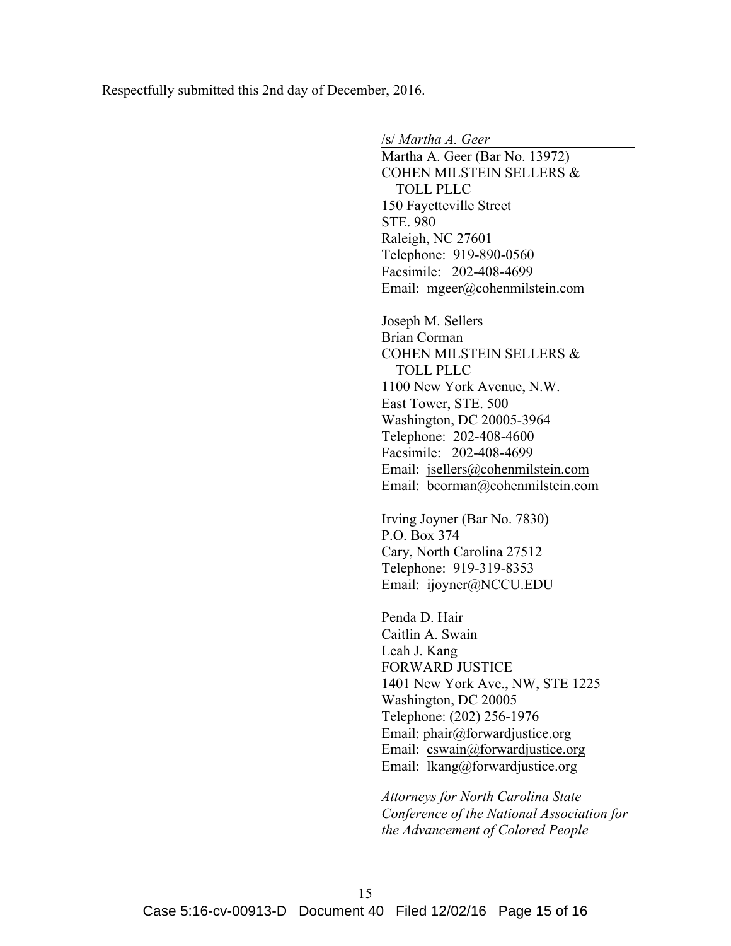Respectfully submitted this 2nd day of December, 2016.

/s/ *Martha A. Geer*

Martha A. Geer (Bar No. 13972) COHEN MILSTEIN SELLERS & TOLL PLLC 150 Fayetteville Street STE. 980 Raleigh, NC 27601 Telephone: 919-890-0560 Facsimile: 202-408-4699 Email: mgeer@cohenmilstein.com

Joseph M. Sellers Brian Corman COHEN MILSTEIN SELLERS & TOLL PLLC 1100 New York Avenue, N.W. East Tower, STE. 500 Washington, DC 20005-3964 Telephone: 202-408-4600 Facsimile: 202-408-4699 Email: jsellers@cohenmilstein.com Email: bcorman@cohenmilstein.com

Irving Joyner (Bar No. 7830) P.O. Box 374 Cary, North Carolina 27512 Telephone: 919-319-8353 Email: ijoyner@NCCU.EDU

Penda D. Hair Caitlin A. Swain Leah J. Kang FORWARD JUSTICE 1401 New York Ave., NW, STE 1225 Washington, DC 20005 Telephone: (202) 256-1976 Email: phair@forwardjustice.org Email: cswain@forwardjustice.org Email: lkang@forwardjustice.org

*Attorneys for North Carolina State Conference of the National Association for the Advancement of Colored People*